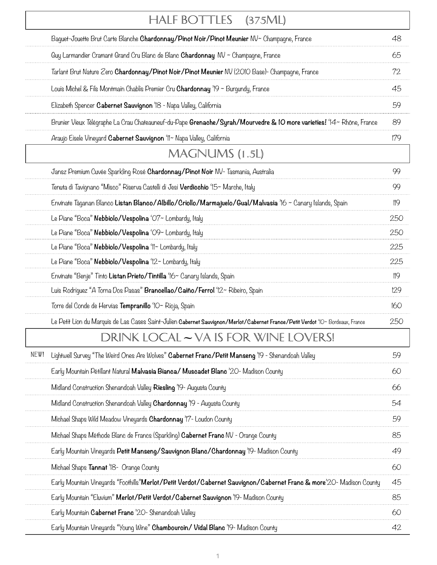|      | HALF BOTTLES<br>(375ML)                                                                                                         |     |
|------|---------------------------------------------------------------------------------------------------------------------------------|-----|
|      | Baquet-Jouette Brut Carte Blanche Chardonnay/Pinot Noir/Pinot Meunier NV~ Champagne, France                                     | 48  |
|      | Guy Larmandier Cramant Grand Cru Blanc de Blanc <b>Chardonnay</b> NV ~ Champagne, France                                        | 65  |
|      | Tarlant Brut Nature Zero Chardonnay/Pinot Noir/Pinot Meunier NV (2010 Base)- Champagne, France                                  | 72  |
|      | Louis Michel & Fils Montmain Chablis Premier Cru <b>Chardonnay</b> '19 ~ Burgundy, France                                       | 45  |
|      | Elizabeth Spencer Cabernet Sauvignon 'IS - Napa Valley, California                                                              | 59  |
|      | Brunier Vieux Télégraphe La Crau Chateauneuf-du-Pape Grenache/Syrah/Mourvedre & 10 more varieties! '14~ Rhône, France           | 89  |
|      | Araujo Eisele Vineyard Cabernet Sauvignon 'II~ Napa Valley, California                                                          | 179 |
|      | MAGNUMS (1.5L)                                                                                                                  |     |
|      | Jansz Premium Cuvée Sparkling Rosé Chardonnay/Pinot Noir NV- Tasmania, Australia                                                | 99  |
|      | Tenuta di Tavignano "Misco" Riserva Castelli di Jesi <b>Verdicchio</b> '15~ Marche, Italy                                       | 99  |
|      | Envínate Táganan Blanco Listan Blanco/Albillo/Criollo/Marmajuelo/Gual/Malvasia '16 ~ Canary Islands, Spain                      | 119 |
|      | Le Piane "Boca" Nebbiolo/Vespolina 'O7~ Lombardy, Italy                                                                         | 250 |
|      | Le Piane "Boca" Nebbiolo/Vespolina 'O9~ Lombardy, Italy                                                                         | 250 |
|      | Le Piane "Boca" Nebbiolo/Vespolina 'II~ Lombardy, Italy                                                                         | 225 |
|      | Le Piane "Boca" Nebbiolo/Vespolina '12~ Lombardy, Italy                                                                         | 225 |
|      | Envinate "Benje" Tinto Listan Prieto/Tintilla '16~ Canary Islands, Spain                                                        | 119 |
|      | Luis Rodriguez "A Torna Dos Pasas" Brancellao/Caiño/Ferrol '12~ Ribeiro, Spain                                                  | 129 |
|      | Torre del Conde de Hervías <b>Tempranillo</b> 'IO~ Rioja, Spain                                                                 | 160 |
|      | Le Petit Lion du Marquis de Las Cases Saint-Julien Cabernet Sauvignon/Merlot/Cabernet France/Petit Verdot '10~ Bordeaux, France | 250 |
|      | DRINK LOCAL – VA IS FOR WINE LOVERS!                                                                                            |     |
| NEW! | Lightwell Survey "The Weird Ones Are Wolves" Cabernet Franc/Petit Manseng '19 - Shenandoah Valley                               | 59  |
|      | Early Mountain Pétillant Natural Malvasia Bianca/ Muscadet Blanc '20- Madison County                                            | 60  |
|      | Midland Construction Shenandoah Valley Riesling '19- Augusta County                                                             | 66  |
|      | Midland Construction Shenandoah Valley <b>Chardonnay</b> '19 - Augusta County                                                   | 54  |
|      | Michael Shaps Wild Meadow Vineyards Chardonnay '17- Loudon County                                                               | 59  |
|      | Michael Shaps Méthode Blanc de Francs (Sparkling) Cabernet Franc NV - Orange County                                             | 85  |
|      | Early Mountain Vineyards Petit Manseng/Sauvignon Blanc/Chardonnay '19- Madison County                                           | 49  |
|      | Michael Shaps Tannat '18- Orange County                                                                                         | 60  |
|      | Early Mountain Vineyards "Foothills"Merlot/Petit Verdot/Cabernet Sauvignon/Cabernet Franc & more'20- Madison County             | 45  |
|      | Early Mountain "Eluvium" Merlot/Petit Verdot/Cabernet Sauvignon '19- Madison County                                             | 85  |
|      | Early Mountain Cabernet Franc '20- Shenandoah Valley                                                                            | 60  |
|      | Early Mountain Vineyards "Young Wine" Chambourcin/ Vidal Blanc '19- Madison County                                              | 42  |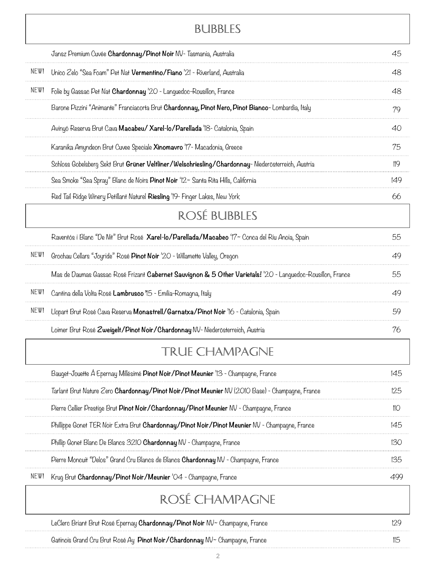### Bubbles

|      | Jansz Premium Cuvée Chardonnay/Pinot Noir NV- Tasmania, Australia                                           | 45  |
|------|-------------------------------------------------------------------------------------------------------------|-----|
| NEW! | Unico Zelo "Sea Foam" Pet Nat Vermentino/Fiano '21 - Riverland, Australia                                   | 48  |
| NEW! | Folie by Gassac Pet Nat Chardonnay '20 - Languedoc-Rousillon, France                                        | 48  |
|      | Barone Pizzini "Animante" Franciacorta Brut Chardonnay, Pinot Nero, Pinot Bianco-Lombardia, Italy           | 79  |
|      | Avinyó Reserva Brut Cava Macabeu/ Xarel-lo/Parellada 18- Catalonia, Spain                                   | 40  |
|      | Karanika Amyndeon Brut Cuvee Speciale <b>Xinomavro</b> 'I'7- Macadonia, Greece                              | 75  |
|      | Schloss Gobelsberg Sekt Brut Grüner Veltliner/Welschriesling/Chardonnay-Niederösterreich, Austria           | 119 |
|      | Sea Smoke "Sea Spray" Blanc de Noirs Pinot Noir '12~ Santa Rita Hills, California                           | 149 |
|      | Red Tail Ridge Winery Petillant Naturel Riesling '19- Finger Lakes, New York                                | 66  |
|      | ROSÉ BUBBLES                                                                                                |     |
|      | Raventós i Blanc "De Nit" Brut Rosé Xarel-lo/Parellada/Macabeo '17~ Conca del Riu Anoia, Spain              | 55  |
| NEW! | Grochau Cellars "Joyride" Rosé Pinot Noir '20 - Willamette Valley, Oregon                                   | 49  |
|      | Mas de Daumas Gassac Rosé Frizant Cabernet Sauvignon & 5 Other Varietals! '20 - Languedoc-Rousillon, France | 55  |
| NEW! | Cantina della Volta Rosé Lambrusco '15 - Emilia-Romagna, Italy                                              | 49  |
| NEW! | Llopart Brut Rosé Cava Reserva Monastrell/Garnatxa/Pinot Noir '16 - Catalonia, Spain                        | 59  |
|      | Loimer Brut Rosé Zweigelt/Pinot Noir/Chardonnay NV- Niederösterreich, Austria                               | 76  |
|      | TRUE CHAMPAGNE                                                                                              |     |
|      | Bauget-Jouette Á Epernay Millésimé Pinot Noir/Pinot Meunier '13 - Champagne, France                         | 145 |
|      | Tarlant Brut Nature Zero Chardonnay/Pinot Noir/Pinot Meunier NV (2010 Base) - Champagne, France             | 125 |
|      | Pierre Cellier Prestige Brut Pinot Noir/Chardonnay/Pinot Meunier NV - Champagne, France                     | 110 |
|      | Phillippe Gonet TER Noir Extra Brut Chardonnay/Pinot Noir/Pinot Meunier NV - Champagne, France              | 145 |
|      | Phillip Gonet Blanc De Blancs 3210 Chardonnay NV - Champagne, France                                        | 130 |
|      | Pierre Moncuit "Delos" Grand Cru Blancs de Blancs Chardonnay NV - Champagne, France                         | 135 |
| NEW! | Krug Brut Chardonnay/Pinot Noir/Meunier '04 - Champagne, France                                             | 499 |
|      | ROSÉ CHAMPAGNE                                                                                              |     |
|      | LeClerc Briant Brut Rosé Epernay Chardonnay/Pinot Noir NV~ Champagne, France                                | 129 |
|      |                                                                                                             |     |

Gatinois Grand Cru Brut Rosé Ay **Pinot Noir/Chardonnay** NV~ Champagne, France 115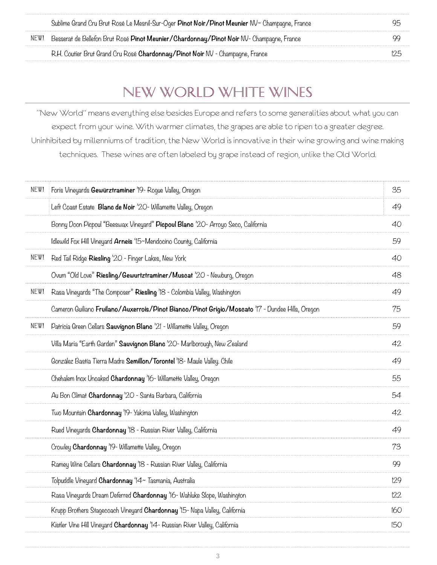|      | Sublime Grand Cru Brut Rosé Le Mesnil-Sur-Oger Pinot Noir/Pinot Meunier NV~ Champagne, France | 95  |
|------|-----------------------------------------------------------------------------------------------|-----|
| NEW! | Besserat de Bellefon Brut Rosé Pinot Meunier/Chardonnay/Pinot Noir NV-Champagne, France       |     |
|      | R.H. Coutier Brut Grand Cru Rosé Chardonnay/Pinot Noir NV - Champagne, France                 | 125 |

## New World White Wines

"New World" means everything else besides Europe and refers to some generalities about what you can expect from your wine. With warmer climates, the grapes are able to ripen to a greater degree. Uninhibited by millenniums of tradition, the New World is innovative in their wine growing and wine making techniques. These wines are often labeled by grape instead of region, unlike the Old World.

| NEW! | Foris Vineyards Gewürztraminer '19- Roque Valley, Oregon                                         | 35  |
|------|--------------------------------------------------------------------------------------------------|-----|
|      | Left Coast Estate Blanc de Noir '20- Willamette Valley, Oregon                                   | 49  |
|      | Bonny Doon Picpoul "Beeswax Vineyard" Picpoul Blanc '20- Arroyo Seco, California                 | 40  |
|      | Idlewild Fox Hill Vineyard Arneis '15~Mendocino County, California                               | 59  |
| NEW! | Red Tail Ridge <b>Riesling</b> '20 - Finger Lakes, New York                                      | 40  |
|      | Ovum "Old Love" Riesling/Gewurtztraminer/Muscat '20 - Newburg, Oregon                            | 48  |
| NEW! | Rasa Vineyards "The Composer" Riesling 'IS - Colombia Valley, Washington                         | 49  |
|      | Cameron Guiliano Fruilano/Auxerrois/Pinot Bianco/Pinot Grigio/Moscato '17 - Dundee Hills, Oregon | 75  |
| NEW! | Patricia Green Cellars Sauvignon Blanc '21 - Willamette Valley, Oregon                           | 59  |
|      | Villa Maria "Earth Garden" <b>Sauvignon Blanc</b> '20- Marlborough, New Zealand                  | 42  |
|      | González Bastía Tierra Madre Semillon/Torontel '18- Maule Valley. Chile                          | 49  |
|      | Chehalem Inox Unoaked <b>Chardonnay</b> '16- Willamette Valley, Oregon                           | 55  |
|      | Au Bon Climat Chardonnay '20 - Santa Barbara, California                                         | 54  |
|      | Two Mountain Chardonnay '19- Yakima Valley, Washington                                           | 42  |
|      | Rued Vineyards Chardonnay '18 - Russian River Valley, California                                 | 49  |
|      | Crowley Chardonnay '19- Willamette Valley, Oregon                                                | 73  |
|      | Ramey Wine Cellars <b>Chardonnay</b> 18 - Russian River Valley, California                       | 99  |
|      | Tolpuddle Vineyard Chardonnay '14~ Tasmania, Australia                                           | 129 |
|      | Rasa Vineyards Dream Deferred <b>Chardonnay</b> '16- Wahluke Slope, Washington                   | 122 |
|      | Krupp Brothers Stagecoach Vineyard <b>Chardonnay</b> 15- Napa Valley, California                 | 160 |
|      | Kistler Vine Hill Vineyard Chardonnay '14 - Russian River Valley, California                     | 150 |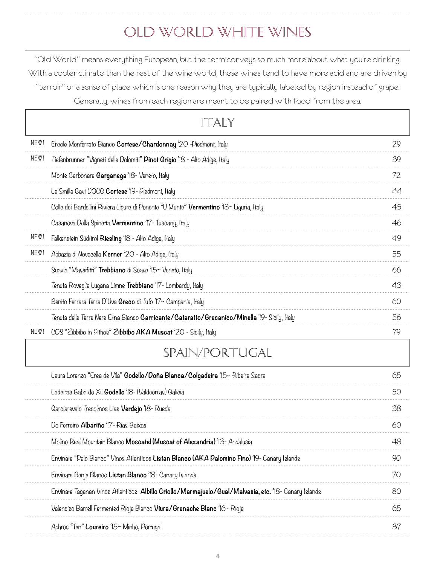# Old World White Wines

"Old World" means everything European, but the term conveys so much more about what you're drinking. With a cooler climate than the rest of the wine world, these wines tend to have more acid and are driven by "terroir" or a sense of place which is one reason why they are typically labeled by region instead of grape. Generally, wines from each region are meant to be paired with food from the area.

|      | AIY                                                                                                   |    |
|------|-------------------------------------------------------------------------------------------------------|----|
| NEW! | Ercole Monferrato Bianco Cortese/Chardonnay '20 -Piedmont, Italy                                      | 29 |
| NEW! | Tiefenbrunner "Vigneti delle Dolomiti" Pinot Grigio '18 - Alto Adige, Italy                           | 39 |
|      | Monte Carbonare Garganega 'IS- Veneto, Italy                                                          | 72 |
|      | La Smilla Gavi DOCG Cortese '19- Piedmont, Italy                                                      | 44 |
|      | Colle dei Bardellini Riviera Ligure di Ponente "U Munte" Vermentino '18~ Liguria, Italy               | 45 |
|      | Casanova Della Spinetta <b>Vermentino</b> '17- Tuscany, Italy                                         | 46 |
| NEW! | Falkenstein Südtirol Riesling '18 - Alto Adige, Italy                                                 | 49 |
| NEW! | Abbazia di Novacella Kerner '20 - Alto Adige, Italy                                                   | 55 |
|      | Suavia "Massifitti" Trebbiano di Soave '15~ Veneto, Italy                                             | 66 |
|      | Tenuta Roveglia Lugana Limne Trebbiano 'I'7- Lombardy, Italy                                          | 43 |
|      | Benito Ferrara Terra D'Uva Greco di Tufo '17~ Campania, Italy                                         | 60 |
|      | Tenuta delle Terre Nere Etna Bianco Ca <b>rricante/Cataratto/Grecanico/Minella</b> '19- Sicily, Italy | 56 |
| NEW! | COS "Zibbibo in Pithos" Zibbibo AKA Muscat '20 - Sicily, Italy                                        | 79 |
|      | SPAIN/PORTUGAL                                                                                        |    |
|      | Laura Lorenzo "Erea de Vila" Godello/Doña Blanca/Colgadeira '15~ Ribeira Sacra                        | 65 |
|      | Ladeiras Gaba do Xil Godello '18- (Valdeorras) Galicia                                                | 50 |
|      | Garciarevalo Tresolmos Lias <b>Verdejo</b> '18- Rueda                                                 | 38 |
|      | Do Ferreiro Albariño '17 - Rias Baixas                                                                | 60 |
|      | Molino Real Mountain Blanco Moscatel (Muscat of Alexandria) '13- Andalusia                            | 48 |
|      | Envinate "Palo Blanco" Vinos Atlanticos Listan Blanco (AKA Palomino Fino) '19- Canary Islands         | 90 |
|      | Envinate Benje Blanco Listan Blanco '18- Canary Islands                                               | 70 |
|      | Envinate Taganan Vinos Atlanticos Albillo Criollo/Marmajuelo/Gual/Malvasia, etc. '18- Canary Islands  | 80 |
|      | Valenciso Barrell Fermented Rioja Blanco Viura/Grenache Blanc '16~ Rioja                              | 65 |
|      | Aphros "Ten" Loureiro '15~ Minho, Portugal                                                            | 37 |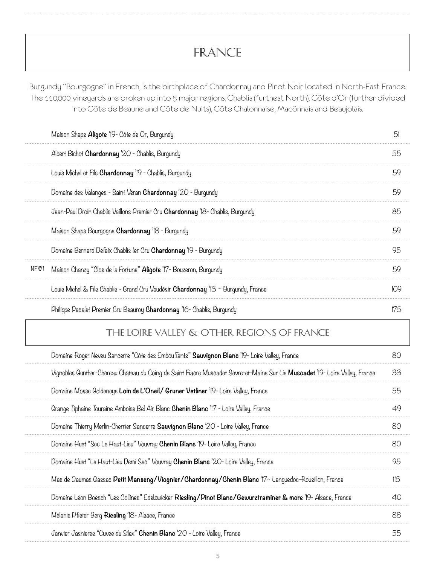## FRANCE

Burgundy "Bourgogne" in French, is the birthplace of Chardonnay and Pinot Noir, located in North-East France. The 110,000 vineyards are broken up into 5 major regions: Chablis (furthest North), Côte d'Or (further divided into Côte de Beaune and Côte de Nuits), Côte Chalonnaise, Macônnais and Beaujolais.

|      | Maison Shaps <b>Aligote</b> '19- Côte de Or, Burgundy                                | 51  |
|------|--------------------------------------------------------------------------------------|-----|
|      | Albert Bichot Chardonnay '20 - Chablis, Burgundy                                     | 55  |
|      | Louis Michel et Fils Chardonnay '19 - Chablis, Burgundy                              | 59  |
|      | Domaine des Valanges - Saint Véran Chardonnay '20 - Burgundy                         | 59  |
|      | Jean-Paul Droin Chablis Vaillons Premier Cru <b>Chardonnay</b> 18- Chablis, Burgundy | 85  |
|      | Maison Shaps Bourgogne Chardonnay 18 - Burgundy                                      | 59  |
|      | Domaine Bernard Defaix Chablis ler Cru Chardonnay '19 - Burgundy                     | 95  |
| NEW! | Maison Chanzy "Clos de la Fortune" <b>Aligote</b> '17- Bouzeron, Burgundy            | 59  |
|      | Louis Michel & Fils Chablis - Grand Cru Vaudésir Chardonnay '13 ~ Burgundy, France   | 109 |
|      | Philippe Pacalet Premier Cru Beauroy <b>Chardonnay</b> 16- Chablis, Burgundy         | 75  |

## The loire valley & OTHER REGIONS OF FRANCE

| Domaine Roger Neveu Sancerre "Côte des Embouffants" Sauvignon Blanc '19- Loire Valley, France                                 | 80  |
|-------------------------------------------------------------------------------------------------------------------------------|-----|
| Vignobles Günther-Chéreau Château du Coing de Saint Fiacre Muscadet Sèvre-et-Maine Sur Lie Muscadet '19- Loire Valley, France | 33  |
| Domaine Mosse Goldeneye Loin de L'Oneil/ Gruner Vetliner '19- Loire Valley, France                                            | 55  |
| Grange Tiphaine Touraine Amboise Bel Air Blanc Chenin Blanc '17 - Loire Valley, France                                        | 49  |
| Domaine Thierry Merlin-Cherrier Sancerre Sauvignon Blanc '20 - Loire Valley, France                                           | 80  |
| Domaine Huet "Sec Le Haut-Lieu" Vouvray Chenin Blanc '19- Loire Valley, France                                                | 80  |
| Domaine Huet "Le Haut-Lieu Demi Sec" Vouvray Chenin Blanc '20- Loire Valley, France                                           | 95  |
| Mas de Daumas Gassac Petit Manseng/Viognier/Chardonnay/Chenin Blanc '17~ Lanquedoc-Rousillon, France                          | II5 |
| Domaine Léon Boesch "Les Collines" Edelzwicker Riesling/Pinot Blanc/Gewürztraminer & more '19- Alsace, France                 | 40  |
| Mélanie Pfister Berg Riesling '18- Alsace, France                                                                             | 88  |
| Janvier Jasnieres "Cuvee du Silex" Chenin Blanc '20 - Loire Valley, France                                                    | 55  |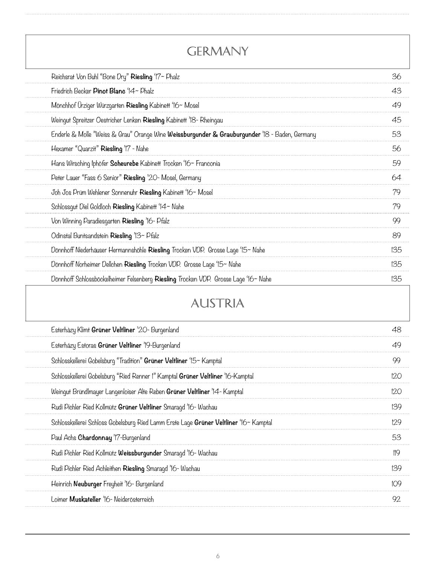| GERMANY                                                                                        |     |
|------------------------------------------------------------------------------------------------|-----|
| Reichsrat Von Buhl "Bone Dry" Riesling '17~ Phalz                                              | 36  |
| Friedrich Becker Pinot Blanc '14~ Phalz                                                        | 43  |
| Mönchhof Ürziger Würzgarten Riesling Kabinett '16~ Mosel                                       | 49  |
| Weingut Spreitzer Oestricher Lenken Riesling Kabinett '18- Rheingau                            | 45  |
| Enderle & Molle "Weiss & Grau" Orange Wine Weissburgunder & Grauburgunder '18 - Baden, Germany | 53  |
| Hexamer "Quarzit" Riesling '17 - Nahe                                                          | 56  |
| Hans Wirsching Iphöfer Scheurebe Kabinett Trocken '16~ Franconia                               | 59  |
| Peter Lauer "Fass 6 Senior" Riesling '20- Mosel, Germany                                       | 64  |
| Joh Jos Prüm Wehlener Sonnenuhr Riesling Kabinett '16~ Mosel                                   | 79  |
| Schlossgut Diel Goldloch Riesling Kabinett '14~ Nahe                                           | 79  |
| Von Winning Paradiesgarten Riesling '16- Pfalz                                                 | 99  |
| Odinstal Buntsandstein Riesling '13~ Pfalz                                                     | 89  |
| Dönnhoff Niederhäuser Hermannshöhle Riesling Trocken VDP. Grosse Lage '15~ Nahe                | 135 |
| Dönnhoff Norheimer Dellchen Riesling Trocken VDP. Grosse Lage '15~ Nahe                        | 135 |
| Dönnhoff Schlossböckelheimer Felsenberg Riesling Trocken VDP. Grosse Lage '16~ Nahe            | 135 |

## Austria

| Esterhazy Klimt Grüner Veltliner '20- Burgenland                                      | 48  |
|---------------------------------------------------------------------------------------|-----|
| Esterházy Estoras Grüner Veltliner '19-Burgenland                                     | 49  |
| Schlosskellerei Gobelsburg "Tradition" Grüner Veltliner '15~ Kamptal                  | 99  |
| Schlosskellerei Gobelsburg "Ried Renner !" Kamptal Grüner Veltliner '16-Kamptal       | 120 |
| Weingut Bründlmayer Langenloiser Alte Reben Grüner Veltliner '14 - Kamptal            | 120 |
| Rudi Pichler Ried Kollmütz Grüner Veltliner Smaragd '16- Wachau                       | 139 |
| Schlosskellerei Schloss Gobelsburg Ried Lamm Erste Lage Grüner Veltliner '16~ Kamptal | 129 |
| Paul Achs Chardonnay 'I'7-Burgenland                                                  | 53  |
| Rudi Pichler Ried Kollmütz Weissburgunder Smaragd '16- Wachau                         | 119 |
| Rudi Pichler Ried Achleithen Riesling Smaragd '16- Wachau                             | 139 |
| Heinrich Neuburger Freyheit '16- Burgenland                                           | 109 |
| Loimer Muskateller '16- Neiderösterreich                                              | 92  |
|                                                                                       |     |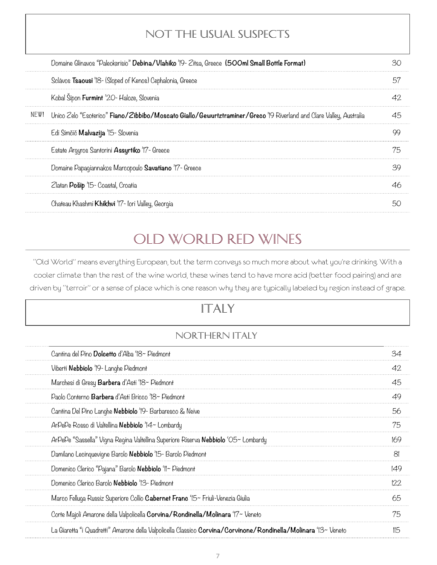#### NOT THE USUAL SUSPECTs

|      | Domaine Glinavos "Paleokerisio" Debina/Vlahiko '19 - Zitsa, Greece (500ml Small Bottle Format)                      |     |
|------|---------------------------------------------------------------------------------------------------------------------|-----|
|      | Sclavos Tsaousi '18 - (Sloped of Kenos) Cephalonia, Greece                                                          | 57  |
|      | Kobal Sipon Furmint '20- Haloze, Slovenia                                                                           | 42  |
| NEW! | Unico Zelo "Esoterico" Fiano/Zibbibo/Moscato Giallo/Gewurtztraminer/Greco '19 Riverland and Clare Valley, Australia | 45  |
|      | Edi Simčič Malvazija '15- Slovenia                                                                                  | 99  |
|      | Estate Argyros Santorini Assyrtiko '17 - Greece                                                                     | 75  |
|      | Domaine Papagiannakos Marcopoulo Savatiano '17 - Greece                                                             | 39  |
|      | Zlatan Pošip '15- Coastal, Croatia                                                                                  | 46  |
|      | Chateau Khashmi Khikhvi 'I'7- Iori Valley, Georgia                                                                  | 5() |

## Old World Red WINES

"Old World" means everything European, but the term conveys so much more about what you're drinking. With a cooler climate than the rest of the wine world, these wines tend to have more acid (better food pairing) and are driven by "terroir" or a sense of place which is one reason why they are typically labeled by region instead of grape.

## ItalY

#### NORTHERN ITALY

| Cantina del Pino Dolcetto d'Alba '18~ Piedmont                                                                  | 34             |
|-----------------------------------------------------------------------------------------------------------------|----------------|
| Viberti Nebbiolo '19 - Langhe Piedmont                                                                          | 42             |
| Marchesi di Gresy Barbera d'Asti '18~ Piedmont                                                                  | 45             |
| Paolo Conterno Barbera d'Asti Bricco 'IS~ Piedmont                                                              | 49             |
| Cantina Del Pino Langhe <b>Nebbiolo</b> '19- Barbaresco & Neive                                                 | 56             |
| ArPePe Rosso di Valtellina Nebbiolo '14~ Lombardy                                                               | 75             |
| ArPePe "Sassella" Vigna Regina Valtellina Superiore Riserva Nebbiolo 'O5~ Lombardy                              | 169            |
| Damilano Lecinquevigne Barolo Nebbiolo '15- Barolo Piedmont                                                     | 8 <sup>1</sup> |
| Domenico Clerico "Pajana" Barolo Nebbiolo 'Il~ Piedmont                                                         | 149            |
| Domenico Clerico Barolo Nebbiolo '13 - Piedmont                                                                 | 122            |
| Marco Felluga Russiz Superiore Collio Cabernet Franc '15~ Friuli-Venezia Giulia                                 | 65             |
| Corte Majoli Amarone della Valpolicella Corvina/Rondinella/Molinara '17~ Veneto                                 | 75             |
| La Giaretta "i Quadretti" Amarone della Valpolicella Classico Corvina/Corvinone/Rondinella/Molinara '13~ Veneto | 115            |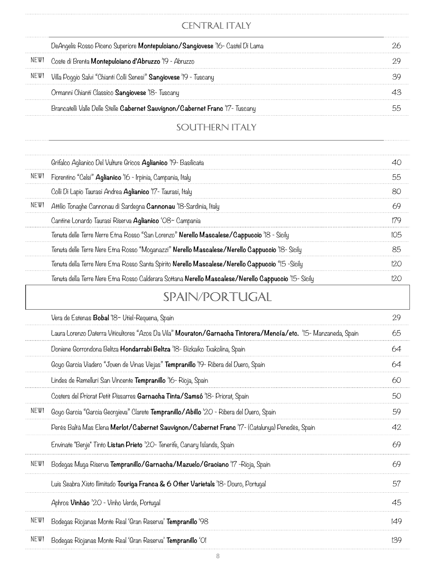#### CENTRAL ITALY

|      | DeAngelis Rosso Piceno Superiore <b>Montepulciano/Sangiovese</b> '16- Castel Di Lama |  |
|------|--------------------------------------------------------------------------------------|--|
|      | Coste di Brenta <b>Montepulciano d'Abruzzo</b> '19 - Abruzzo                         |  |
| NLW! | Villa Poggio Salvi "Chianti Colli Senesi" <b>Sangiovese</b> '19 - Tuscany            |  |
|      | Ormanni Chianti Classico Sangiovese '18- Tuscany                                     |  |
|      | Brancatelli Valle Delle Stelle Cabernet Sauvignon/Cabernet Franc '17- Tuscany        |  |
|      |                                                                                      |  |

#### SOUTHERN ITALY

|      | Grifalco Aglianico Del Vulture Gricos <b>Aglianico</b> '19- Basilicata                                          | 40  |
|------|-----------------------------------------------------------------------------------------------------------------|-----|
| NEW! | Fiorentino "Celsi" Aglianico '16 - Irpinia, Campania, Italy                                                     | 55  |
|      | Colli Di Lapio Taurasi Andrea Aglianico '17- Taurasi, Italy                                                     | 80  |
| NEW! | Attilio Tonaghe Cannonau di Sardegna <b>Cannonau</b> '18-Sardinia, Italy                                        | 69  |
|      | Cantine Lonardo Taurasi Riserva Aglianico 'O8~ Campania                                                         | 179 |
|      | Tenuta delle Terre Nerre Etna Rosso "San Lorenzo" Nerello Mascalese/Cappuccio '18 - Sicily                      | 105 |
|      | Tenuta delle Terre Nere Etna Rosso "Moganazzi" <b>Nerello Mascalese/Nerello Cappuccio</b> '18- Sicily           | 85  |
|      | Tenuta della Terre Nere Etna Rosso Santa Spirito Nerello Mascalese/Nerello Cappuccio "15 -Sicily                | 120 |
|      | Tenuta della Terre Nere Etna Rosso Calderara Sottana <b>Nerello Mascalese/Nerello Cappuccio</b> '15- Sicily     | 120 |
|      | SPAIN/PORTUGAL                                                                                                  |     |
|      | Vera de Estenas <b>Bobal</b> '18~ Utiel-Requena, Spain                                                          | 29  |
|      | Laura Lorenzo Daterra Viticultores "Azos Da Vila" Mouraton/Garnacha Tintorera/Mencía/etc. '15- Manzaneda, Spain | 65  |
|      | Doniene Gorrondona Beltza <b>Hondarrabi Beltza</b> '18- Bizkaiko Txakolina, Spain                               | 64  |
|      | Goyo Garcia Viadero "Joven de Vinas Viejas" Tempranillo '19- Ribera del Duero, Spain                            | 64  |
|      | Lindes de Remelluri San Vincente Tempranillo '16- Rioja, Spain                                                  | 60  |
|      | Costers del Priorat Petit Pissarres Garnacha Tinta/Samsó '18- Priorat, Spain                                    | 50  |
| NEW! | Goyo Garcia "Garcia Georgieva" Clarete Tempranillo/Abillo '20 - Ribera del Duero, Spain                         | 59  |
|      | Perés Baltà Mas Elena Merlot/Cabernet Sauvignon/Cabernet Franc '17- (Catalunya) Penedès, Spain                  | 42  |
|      | Envinate "Benje" Tinto Listan Prieto '20- Tenerife, Canary Islands, Spain                                       | 69  |
| NEW! | Bodegas Muga Riserva <b>Tempranillo/Garnacha/Mazuelo/Graciano</b> '17 -Rioja, Spain                             | 69  |
|      | Luis Seabra Xisto Ilimitado Touriga Franca & 6 Other Varietals '18- Douro, Portugal                             | 57  |
|      | Aphros Vinhão '20 - Vinho Verde, Portugal                                                                       | 45  |
| NEW! | Bodegas Riojanas Monte Real 'Gran Reserva' Tempranillo '98                                                      | 149 |
| NEW! | Bodegas Riojanas Monte Real 'Gran Reserva' Tempranillo 'Ol                                                      | 139 |
|      |                                                                                                                 |     |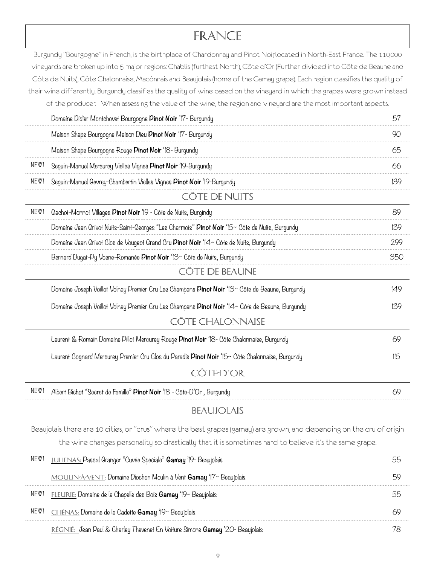## France

|      | Burgundy "Bourgogne" in French, is the birthplace of Chardonnay and Pinot Noirlocated in North-East France. The 110,000<br>vineyards are broken up into 5 major regions: Chablis (furthest North), Côte d'Or (Further divided into Côte de Beaune and |     |
|------|-------------------------------------------------------------------------------------------------------------------------------------------------------------------------------------------------------------------------------------------------------|-----|
|      | Côte de Nuits), Côte Chalonnaise, Macônnais and Beaujolais (home of the Gamay grape). Each region classifies the quality of                                                                                                                           |     |
|      | their wine differently. Burgundy classifies the quality of wine based on the vineyard in which the grapes were grown instead                                                                                                                          |     |
|      | of the producer. When assessing the value of the wine, the region and vineyard are the most important aspects.                                                                                                                                        |     |
|      | Domaine Didier Montchovet Bourgogne Pinot Noir '17- Burgundy                                                                                                                                                                                          | 57  |
|      | Maison Shaps Bourgogne Maison Dieu Pinot Noir '17- Burgundy                                                                                                                                                                                           | 90  |
|      | Maison Shaps Bourgogne Rouge Pinot Noir '18- Burgundy                                                                                                                                                                                                 | 65  |
| NEW! | Seguin-Manuel Mercurey Vielles Vignes Pinot Noir '19-Burgundy                                                                                                                                                                                         | 66  |
| NEW! | Sequin-Manuel Gevrey-Chambertin Vielles Vignes Pinot Noir '19-Burgundy                                                                                                                                                                                | 139 |
|      | CÔTE DE NUITS                                                                                                                                                                                                                                         |     |
| NEW! | Gachot-Monnot Villages Pinot Noir '19 - Côte de Nuits, Burgindy                                                                                                                                                                                       | 89  |
|      | Domaine Jean Grivot Nuits-Saint-Georges "Les Charmois" Pinot Noir '15~ Côte de Nuits, Burgundy                                                                                                                                                        | 139 |
|      | Domaine Jean Grivot Clos de Vougeot Grand Cru Pinot Noir '14~ Côte de Nuits, Burgundy                                                                                                                                                                 | 299 |
|      | Bernard Dugat-Py Vosne-Romanée Pinot Noir '13~ Côte de Nuits, Burgundy                                                                                                                                                                                | 350 |
|      | CÔTE DE BEAUNE                                                                                                                                                                                                                                        |     |
|      | Domaine Joseph Voillot Volnay Premier Cru Les Champans <b>Pinot Noir</b> '13~ Côte de Beaune, Burgundy                                                                                                                                                | 149 |
|      | Domaine Joseph Voillot Volnay Premier Cru Les Champans Pinot Noir '14~ Côte de Beaune, Burqundy                                                                                                                                                       | 139 |
|      | CÔTE CHALONNAISE                                                                                                                                                                                                                                      |     |
|      | Laurent & Romain Domaine Pillot Mercurey Rouge Pinot Noir '18- Côte Chalonnaise, Burgundy                                                                                                                                                             | 69  |
|      | Laurent Cognard Mercurey Premier Cru Clos du Paradis <b>Pinot Noir</b> '15~ Côte Chalonnaise, Burgundy                                                                                                                                                | II5 |
|      | CÔTE-D'OR                                                                                                                                                                                                                                             |     |
| NEW! | Albert Bichot "Secret de Famille" Pinot Noir '18 - Côte-D'Or, Burgundy                                                                                                                                                                                | 69  |
|      | <b>BEAUJOLAIS</b>                                                                                                                                                                                                                                     |     |
|      | Beaujolais there are 10 cities, or "crus" where the best grapes (gamay) are grown, and depending on the cru of origin                                                                                                                                 |     |
|      | the wine changes personality so drastically that it is sometimes hard to believe it's the same grape.                                                                                                                                                 |     |
| NEW! | JULIENAS: Pascal Granger "Cuvée Speciale" Gamay '19- Beaujolais                                                                                                                                                                                       | 55  |
|      | MOULIN-A-VENT: Domaine Diochon Moulin à Vent Gamay '17~ Beaujolais                                                                                                                                                                                    | 59  |
| NEW! | FLEURIE: Domaine de la Chapelle des Bois <b>Gamay</b> '19~ Beaujolais                                                                                                                                                                                 | 55  |
| NEW! | CHÉNAS: Domaine de la Cadette Gamay '19~ Beaujolais                                                                                                                                                                                                   | 69  |

Régnié: Jean Paul & Charley Thevenet En Voiture Simone **Gamay** '20- Beaujolais 78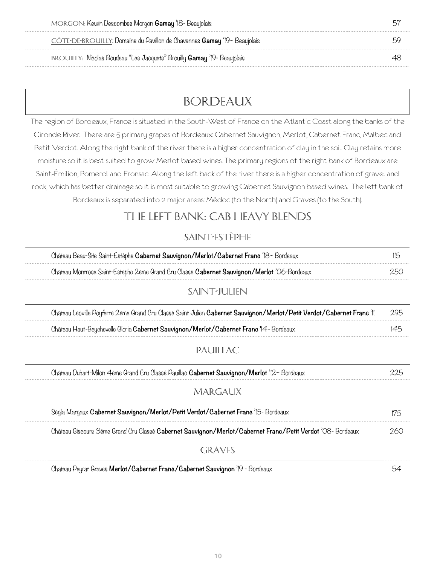| MORGON: Kewin Descombes Morgon Gamay '18 - Beaujolais                           |  |
|---------------------------------------------------------------------------------|--|
| CÔTE-DE-BROUILLY: Domaine du Pavillon de Chavannes <b>Gamay</b> '19~ Beaujolais |  |
| BROUILLY: Nicolas Boudeau "Les Jacquets" Brouilly <b>Gamay</b> '19- Beaujolais  |  |

## Bordeaux

The region of Bordeaux, France is situated in the South-West of France on the Atlantic Coast along the banks of the Gironde River. There are 5 primary grapes of Bordeaux: Cabernet Sauvignon, Merlot, Cabernet Franc, Malbec and Petit Verdot. Along the right bank of the river there is a higher concentration of clay in the soil. Clay retains more moisture so it is best suited to grow Merlot based wines. The primary regions of the right bank of Bordeaux are Saint-Émilion, Pomerol and Fronsac. Along the left back of the river there is a higher concentration of gravel and rock, which has better drainage so it is most suitable to growing Cabernet Sauvignon based wines. The left bank of Bordeaux is separated into 2 major areas: Médoc (to the North) and Graves (to the South).

#### THE LEFT BANK: CAB HEAVY BLENDS

#### Saint-Estèphe

| Château Beau-Site Saint-Estèphe Cabernet Sauvignon/Merlot/Cabernet Franc '18~ Bordeaux                                 | II5 |
|------------------------------------------------------------------------------------------------------------------------|-----|
| Château Montrose Saint-Estéphe 2ème Grand Cru Classé Cabernet Sauvignon/Merlot 'O6-Bordeaux                            | 250 |
| SAINT-JULIEN                                                                                                           |     |
| Château Léoville Poyferré 2ème Grand Cru Classé Saint Julien Cabernet Sauvignon/Merlot/Petit Verdot/Cabernet Franc 'II | 295 |
| Château Haut-Beychevelle Gloria Cabernet Sauvignon/Merlot/Cabernet Franc 74- Bordeaux                                  | 145 |
| PAUILLAC                                                                                                               |     |
| Château Duhart-Milon 4ème Grand Cru Classé Pauillac Cabernet Sauvignon/Merlot '12~ Bordeaux                            | 225 |
| MARGAUX                                                                                                                |     |
| Ségla Margaux Cabernet Sauvignon/Merlot/Petit Verdot/Cabernet Franc '15- Bordeaux                                      | 175 |
| Château Giscours 3ème Grand Cru Classé Cabernet Sauvignon/Merlot/Cabernet Franc/Petit Verdot 'O8- Bordeaux             | 260 |
| GRAVES                                                                                                                 |     |
| Chateau Peyrat Graves Merlot/Cabernet Franc/Cabernet Sauvignon '19 - Bordeaux                                          | 54  |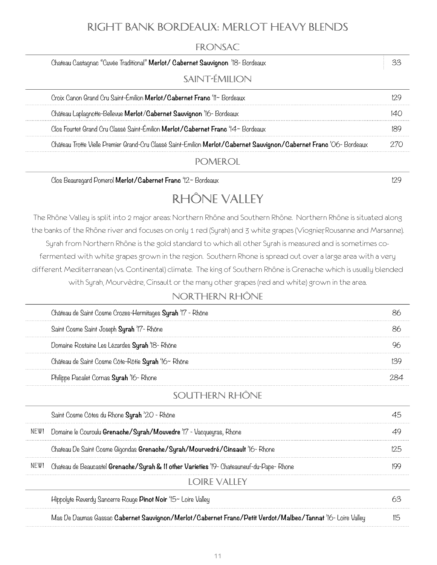#### Right Bank Bordeaux: Merlot heavy blends

#### **FRONSAC**

| Chateau Castagnac "Cuvée Traditional" Merlot/ Cabernet Sauvignon '18- Bordeaux                                     |  |
|--------------------------------------------------------------------------------------------------------------------|--|
| SAINT-ÉMILION                                                                                                      |  |
| Croix Canon Grand Cru Saint-Émilion Merlot/Cabernet Franc 'II~ Bordeaux                                            |  |
| Château Laplagnotte-Bellevue Merlot/Cabernet Sauvignon '16- Bordeaux                                               |  |
| Clos Fourtet Grand Cru Classé Saint-Émilion Merlot/Cabernet Franc '14~ Bordeaux                                    |  |
| Château Trotte Vielle Premier Grand-Cru Classé Saint-Emilion Merlot/Cabernet Sauvignon/Cabernet Franc 'O6-Bordeaux |  |

#### Pomerol

Clos Beauregard Pomerol **Merlot/Cabernet Franc** '12~ Bordeaux 129

## Rhône Valley

The Rhône Valley is split into 2 major areas: Northern Rhône and Southern Rhône. Northern Rhône is situated along the banks of the Rhône river and focuses on only 1 red (Syrah) and 3 white grapes (Viognier, Rousanne and Marsanne). Syrah from Northern Rhône is the gold standard to which all other Syrah is measured and is sometimes cofermented with white grapes grown in the region. Southern Rhone is spread out over a large area with a very different Mediterranean (vs. Continental) climate. The king of Southern Rhône is Grenache which is usually blended with Syrah, Mourvèdre, Cinsault or the many other grapes (red and white) grown in the area.

#### Northern Rhône

| 86                                                                                                                |
|-------------------------------------------------------------------------------------------------------------------|
| 86                                                                                                                |
| 96                                                                                                                |
| 139                                                                                                               |
| 284                                                                                                               |
|                                                                                                                   |
| 45                                                                                                                |
| 49                                                                                                                |
| 125                                                                                                               |
| 199                                                                                                               |
|                                                                                                                   |
| 63                                                                                                                |
| Mas De Daumas Gassac Cabernet Sauvignon/Merlot/Cabernet Franc/Petit Verdot/Malbec/Tannat '16- Loire Valley<br>115 |
|                                                                                                                   |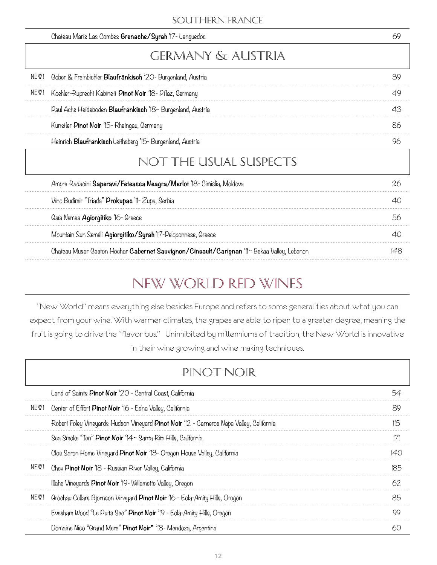#### Southern France

| 69  | Chateau Maris Las Combes Grenache/Syrah '17- Languedoc                                      |
|-----|---------------------------------------------------------------------------------------------|
|     | GERMANY & AUSTRIA                                                                           |
| 39  | NEW!<br>Gober & Freinbichler Blaufränkisch '20- Burgenland, Austria                         |
| 49  | NEW!<br>Koehler-Ruprecht Kabinett Pinot Noir '18- Pflaz, Germany                            |
| 43  | Paul Achs Heideboden Blaufränkisch '18~ Burgenland, Austria                                 |
| 86  | Kunstler Pinot Noir '15- Rheingau, Germany                                                  |
| 96  | Heinrich Blaufränkisch Leithsberg '15- Burgenland, Austria                                  |
|     | NOT THE USUAL SUSPECTS                                                                      |
| 26  | Ampre Radacini Saperavi/Feteasca Neagra/Merlot 'IS- Cimislia, Moldova                       |
| 40  | Vino Budimir "Triada" Prokupac 'II- Zupa, Serbia                                            |
| 56  | Gaía Nemea Agiorgitiko '16- Greece                                                          |
| 40  | Mountain Sun Seméli Agiorgitiko/Syrah 'I'7-Peloponnese, Greece                              |
| 148 | Chateau Musar Gaston Hochar Cabernet Sauvignon/Cinsault/Carignan 'II~ Bekaa Valley, Lebanon |
|     |                                                                                             |

# New World Red WINES

"New World" means everything else besides Europe and refers to some generalities about what you can expect from your wine. With warmer climates, the grapes are able to ripen to a greater degree, meaning the fruit is going to drive the "flavor bus." Uninhibited by millenniums of tradition, the New World is innovative in their wine growing and wine making techniques.

|      | PIN(1   N()                                                                              |               |
|------|------------------------------------------------------------------------------------------|---------------|
|      | Land of Saints Pinot Noir '20 - Central Coast, California                                | 54            |
| NEW! | Center of Effort Pinot Noir '16 - Edna Valley, California                                | 89            |
|      | Robert Foley Vineyards Hudson Vineyard Pinot Noir '12 - Carneros Napa Valley, California | 115           |
|      | Sea Smoke "Ten" Pinot Noir '14~ Santa Rita Hills, California                             | $\frac{1}{2}$ |
|      | Clos Saron Home Vineyard Pinot Noir '13- Oregon House Valley, California                 | 140           |
| NEW! | Chev Pinot Noir '18 - Russian River Valley, California                                   | 185           |
|      | Illahe Vineyards Pinot Noir '19 - Willamette Valley, Oregon                              | 62            |
| NEW! | Grochau Cellars Bjornson Vineyard Pinot Noir '16 - Eola-Amity Hills, Oregon              | 85            |
|      | Evesham Wood "Le Puits Sec" Pinot Noir '19 - Eola-Amity Hills, Oregon                    | 99            |
|      | Domaine Nico "Grand Mere" Pinot Noir" '18 Mendoza, Argentina                             | 60            |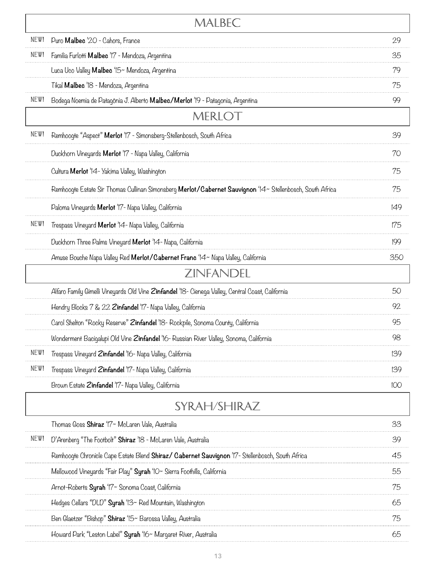|      | MALBEC                                                                                                    |     |
|------|-----------------------------------------------------------------------------------------------------------|-----|
| NEW! | Puro Malbec '20 - Cahors, France                                                                          | 29  |
| NEW! | Familia Furlotti Malbec '17 - Mendoza, Argentina                                                          | 35  |
|      | Luca Uco Valley Malbec '15~ Mendoza, Argentina                                                            | 79  |
|      | Tikal Malbec 'IS - Mendoza, Argentina                                                                     | 75  |
| NEW! | Bodega Noemia de Patagônia J. Alberto Malbec/Merlot '19 - Patagonia, Argentina                            | 99  |
|      | MERLO I                                                                                                   |     |
| NEW! | Remhoogte "Aspect" Merlot '17 - Simonsberg-Stellenbosch, South Africa                                     | 39  |
|      | Duckhorn Vineyards Merlot '17 - Napa Valley, California                                                   | 70  |
|      | Cultura Merlot '14- Yakima Valley, Washington                                                             | 75  |
|      | Remhoogte Estate Sir Thomas Cullinan Simonsberg Merlot/Cabernet Sauvignon '14~ Stellenbosch, South Africa | 75  |
|      | Paloma Vineyards Merlot '17- Napa Valley, California                                                      | 149 |
| NEW! | Trespass Vineyard Merlot '14- Napa Valley, California                                                     | 175 |
|      | Duckhorn Three Palms Vineyard Merlot '14- Napa, California                                                | 199 |
|      | Amuse Bouche Napa Valley Red Merlot/Cabernet Franc '14~ Napa Valley, California                           | 350 |
|      | ZINFANDEL                                                                                                 |     |
|      | Alfaro Family Gimelli Vineyards Old Vine Zinfandel '18- Cienega Valley, Central Coast, California         | 50  |
|      | Hendry Blocks 7 & 22 Zinfandel '17- Napa Valley, California                                               | 92  |
|      | Carol Shelton "Rocky Reserve" Zinfandel '18- Rockpile, Sonoma County, California                          | 95  |
|      | Wonderment Bacigalupi Old Vine Zinfandel '16- Russian River Valley, Sonoma, California                    | 98  |
| NEW! | Trespass Vineyard Zinfandel '16- Napa Valley, California                                                  | 139 |
| NEW! | Trespass Vineyard Zinfandel '17- Napa Valley, California                                                  | 139 |
|      | Brown Estate Zinfandel '17- Napa Valley, California                                                       | IOO |
|      | SYRAH/SHIRAZ                                                                                              |     |
|      | Thomas Goss Shiraz '17~ McLaren Vale, Australia                                                           | 33  |
| NEW! | D'Arenberg "The Footbolt" Shiraz '18 - McLaren Vale, Australia                                            | 39  |
|      | Remhoogte Chronicle Cape Estate Blend Shiraz/ Cabernet Sauvignon '17- Stellenbosch, South Africa          | 45  |
|      | Mellowood Vineyards "Fair Play" Syrah 'IO~ Sierra Foothills, California                                   | 55  |
|      | Arnot-Roberts Syrah '17~ Sonoma Coast, California                                                         | 75  |
|      | Hedges Cellars "DLD" Syrah '13~ Red Mountain, Washington                                                  | 65  |
|      | Ben Glaetzer "Bishop" Shiraz '15~ Barossa Valley, Australia                                               | 75  |
|      | Howard Park "Leston Label" Syrah '16~ Margaret River, Australia                                           | 65  |